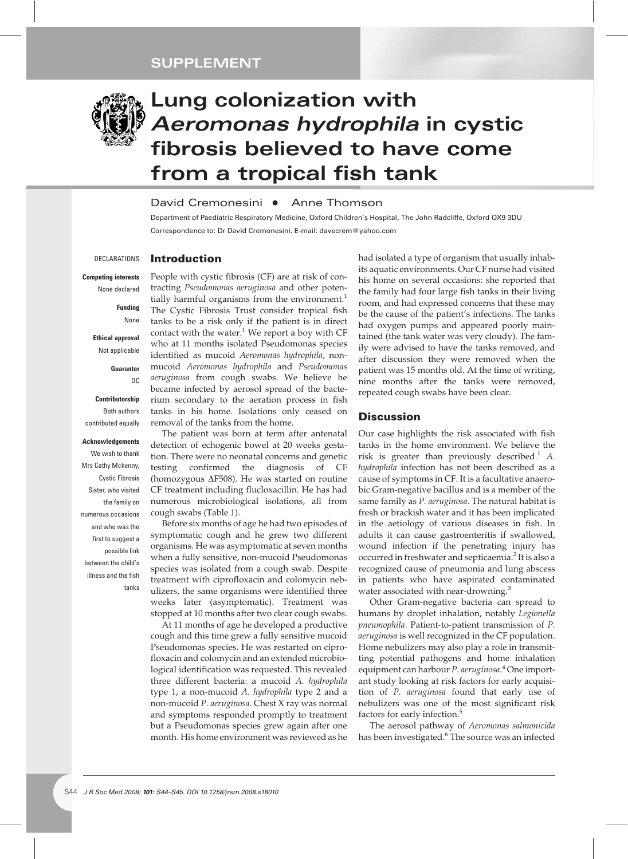

# **Lung colonization with** *Aeromonas hydrophila* **in cystic fibrosis believed to have come from a tropical fish tank**

## David Cremonesini • Anne Thomson

Department of Paediatric Respiratory Medicine, Oxford Children's Hospital, The John Radcliffe, Oxford OX9 3DU Correspondence to: Dr David Cremonesini. E-mail: davecrem@yahoo.com

DECLARATIONS

# **Introduction**

#### **Competing interests** None declared

**Funding** None

**Ethical approval** Not applicable

- **Guarantor**
	- DC

**Contributorship** Both authors contributed equally

#### **Acknowledgements**

We wish to thank Mrs Cathy Mckenny, Cystic Fibrosis Sister, who visited the family on numerous occasions and who was the first to suggest a possible link between the child's illness and the fish tanks

People with cystic fibrosis (CF) are at risk of contracting *Pseudomonas aeruginosa* and other potentially harmful organisms from the environment.<sup>1</sup> The Cystic Fibrosis Trust consider tropical fish tanks to be a risk only if the patient is in direct contact with the water. $1$  We report a boy with CF who at 11 months isolated Pseudomonas species identified as mucoid *Aeromonas hydrophila*, nonmucoid *Aeromonas hydrophila* and *Pseudomonas aeruginosa* from cough swabs. We believe he became infected by aerosol spread of the bacterium secondary to the aeration process in fish tanks in his home. Isolations only ceased on removal of the tanks from the home.

The patient was born at term after antenatal detection of echogenic bowel at 20 weeks gestation. There were no neonatal concerns and genetic testing confirmed the diagnosis of CF (homozygous  $\Delta$ F508). He was started on routine CF treatment including flucloxacillin. He has had numerous microbiological isolations, all from cough swabs (Table 1).

Before six months of age he had two episodes of symptomatic cough and he grew two different organisms. He was asymptomatic at seven months when a fully sensitive, non-mucoid Pseudomonas species was isolated from a cough swab. Despite treatment with ciprofloxacin and colomycin nebulizers, the same organisms were identified three weeks later (asymptomatic). Treatment was stopped at 10 months after two clear cough swabs.

At 11 months of age he developed a productive cough and this time grew a fully sensitive mucoid Pseudomonas species. He was restarted on ciprofloxacin and colomycin and an extended microbiological identification was requested. This revealed three different bacteria: a mucoid *A. hydrophila* type 1, a non-mucoid *A. hydrophila* type 2 and a non-mucoid *P. aeruginosa*. Chest X ray was normal and symptoms responded promptly to treatment but a Pseudomonas species grew again after one month. His home environment was reviewed as he

had isolated a type of organism that usually inhabits aquatic environments. Our CF nurse had visited his home on several occasions: she reported that the family had four large fish tanks in their living room, and had expressed concerns that these may be the cause of the patient's infections. The tanks had oxygen pumps and appeared poorly maintained (the tank water was very cloudy). The family were advised to have the tanks removed, and after discussion they were removed when the patient was 15 months old. At the time of writing, nine months after the tanks were removed, repeated cough swabs have been clear.

### **Discussion**

Our case highlights the risk associated with fish tanks in the home environment. We believe the risk is greater than previously described.<sup>1</sup> A. *hydrophila* infection has not been described as a cause of symptoms in CF. It is a facultative anaerobic Gram-negative bacillus and is a member of the same family as *P. aeruginosa*. The natural habitat is fresh or brackish water and it has been implicated in the aetiology of various diseases in fish. In adults it can cause gastroenteritis if swallowed, wound infection if the penetrating injury has occurred in freshwater and septicaemia.<sup>2</sup> It is also a recognized cause of pneumonia and lung abscess in patients who have aspirated contaminated water associated with near-drowning.<sup>3</sup>

Other Gram-negative bacteria can spread to humans by droplet inhalation, notably *Legionella pneumophila*. Patient-to-patient transmission of *P. aeruginosa* is well recognized in the CF population. Home nebulizers may also play a role in transmitting potential pathogens and home inhalation equipment can harbour *P. aeruginosa*. <sup>4</sup> One important study looking at risk factors for early acquisition of *P. aeruginosa* found that early use of nebulizers was one of the most significant risk factors for early infection.<sup>5</sup>

The aerosol pathway of *Aeromonas salmonicida* has been investigated.<sup>6</sup> The source was an infected